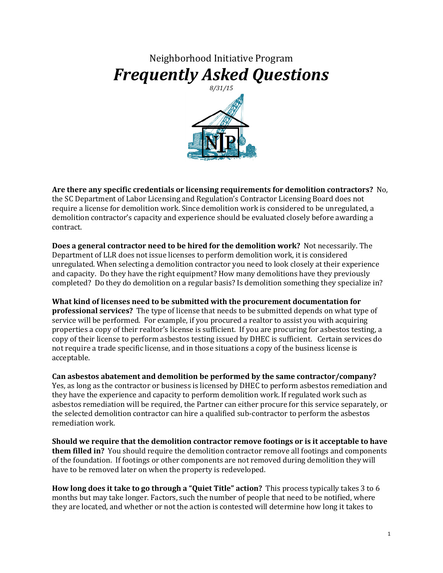## Neighborhood Initiative Program *Frequently Asked Questions*



**Are there any specific credentials or licensing requirements for demolition contractors?** No, the SC Department of Labor Licensing and Regulation's Contractor Licensing Board does not require a license for demolition work. Since demolition work is considered to be unregulated, a demolition contractor's capacity and experience should be evaluated closely before awarding a contract.

**Does a general contractor need to be hired for the demolition work?** Not necessarily. The Department of LLR does not issue licenses to perform demolition work, it is considered unregulated. When selecting a demolition contractor you need to look closely at their experience and capacity. Do they have the right equipment? How many demolitions have they previously completed? Do they do demolition on a regular basis? Is demolition something they specialize in?

**What kind of licenses need to be submitted with the procurement documentation for professional services?** The type of license that needs to be submitted depends on what type of service will be performed. For example, if you procured a realtor to assist you with acquiring properties a copy of their realtor's license is sufficient. If you are procuring for asbestos testing, a copy of their license to perform asbestos testing issued by DHEC is sufficient. Certain services do not require a trade specific license, and in those situations a copy of the business license is acceptable.

**Can asbestos abatement and demolition be performed by the same contractor/company?** Yes, as long as the contractor or business is licensed by DHEC to perform asbestos remediation and they have the experience and capacity to perform demolition work. If regulated work such as asbestos remediation will be required, the Partner can either procure for this service separately, or the selected demolition contractor can hire a qualified sub-contractor to perform the asbestos remediation work.

**Should we require that the demolition contractor remove footings or is it acceptable to have them filled in?** You should require the demolition contractor remove all footings and components of the foundation. If footings or other components are not removed during demolition they will have to be removed later on when the property is redeveloped.

**How long does it take to go through a "Quiet Title" action?** This process typically takes 3 to 6 months but may take longer. Factors, such the number of people that need to be notified, where they are located, and whether or not the action is contested will determine how long it takes to